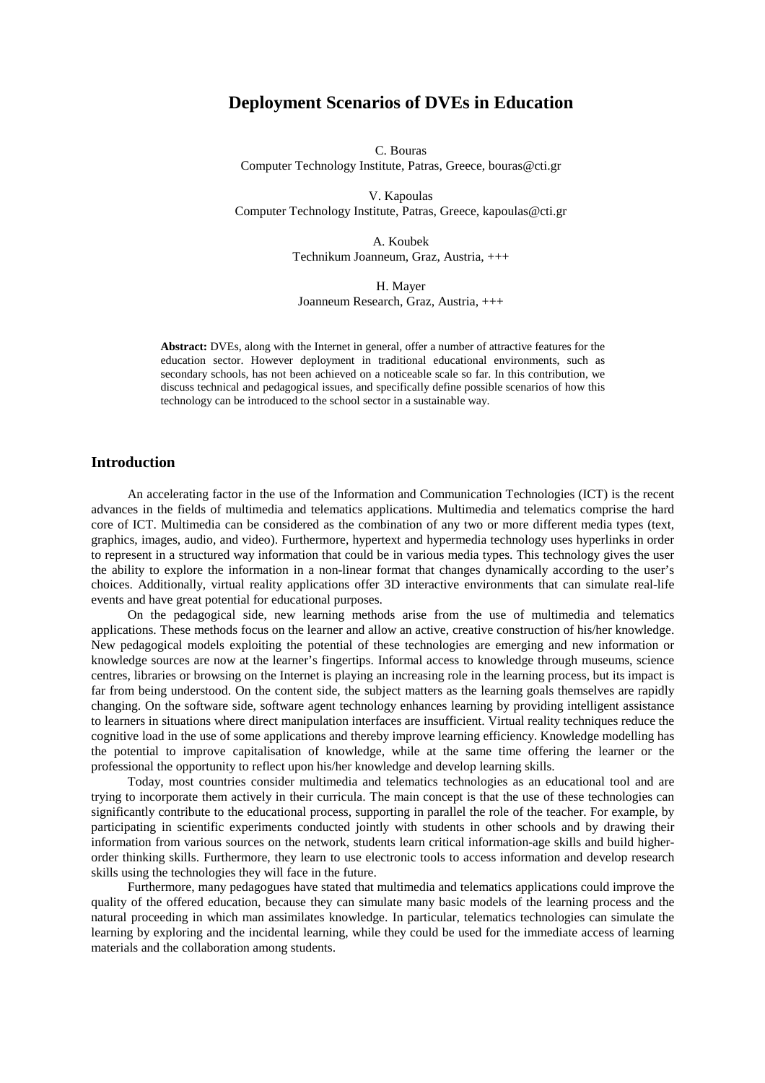# **Deployment Scenarios of DVEs in Education**

C. Bouras Computer Technology Institute, Patras, Greece, bouras@cti.gr

V. Kapoulas Computer Technology Institute, Patras, Greece, kapoulas@cti.gr

> A. Koubek Technikum Joanneum, Graz, Austria, +++

H. Mayer Joanneum Research, Graz, Austria, +++

**Abstract:** DVEs, along with the Internet in general, offer a number of attractive features for the education sector. However deployment in traditional educational environments, such as secondary schools, has not been achieved on a noticeable scale so far. In this contribution, we discuss technical and pedagogical issues, and specifically define possible scenarios of how this technology can be introduced to the school sector in a sustainable way.

# **Introduction**

An accelerating factor in the use of the Information and Communication Technologies (ICT) is the recent advances in the fields of multimedia and telematics applications. Multimedia and telematics comprise the hard core of ICT. Multimedia can be considered as the combination of any two or more different media types (text, graphics, images, audio, and video). Furthermore, hypertext and hypermedia technology uses hyperlinks in order to represent in a structured way information that could be in various media types. This technology gives the user the ability to explore the information in a non-linear format that changes dynamically according to the user's choices. Additionally, virtual reality applications offer 3D interactive environments that can simulate real-life events and have great potential for educational purposes.

On the pedagogical side, new learning methods arise from the use of multimedia and telematics applications. These methods focus on the learner and allow an active, creative construction of his/her knowledge. New pedagogical models exploiting the potential of these technologies are emerging and new information or knowledge sources are now at the learner's fingertips. Informal access to knowledge through museums, science centres, libraries or browsing on the Internet is playing an increasing role in the learning process, but its impact is far from being understood. On the content side, the subject matters as the learning goals themselves are rapidly changing. On the software side, software agent technology enhances learning by providing intelligent assistance to learners in situations where direct manipulation interfaces are insufficient. Virtual reality techniques reduce the cognitive load in the use of some applications and thereby improve learning efficiency. Knowledge modelling has the potential to improve capitalisation of knowledge, while at the same time offering the learner or the professional the opportunity to reflect upon his/her knowledge and develop learning skills.

Today, most countries consider multimedia and telematics technologies as an educational tool and are trying to incorporate them actively in their curricula. The main concept is that the use of these technologies can significantly contribute to the educational process, supporting in parallel the role of the teacher. For example, by participating in scientific experiments conducted jointly with students in other schools and by drawing their information from various sources on the network, students learn critical information-age skills and build higherorder thinking skills. Furthermore, they learn to use electronic tools to access information and develop research skills using the technologies they will face in the future.

Furthermore, many pedagogues have stated that multimedia and telematics applications could improve the quality of the offered education, because they can simulate many basic models of the learning process and the natural proceeding in which man assimilates knowledge. In particular, telematics technologies can simulate the learning by exploring and the incidental learning, while they could be used for the immediate access of learning materials and the collaboration among students.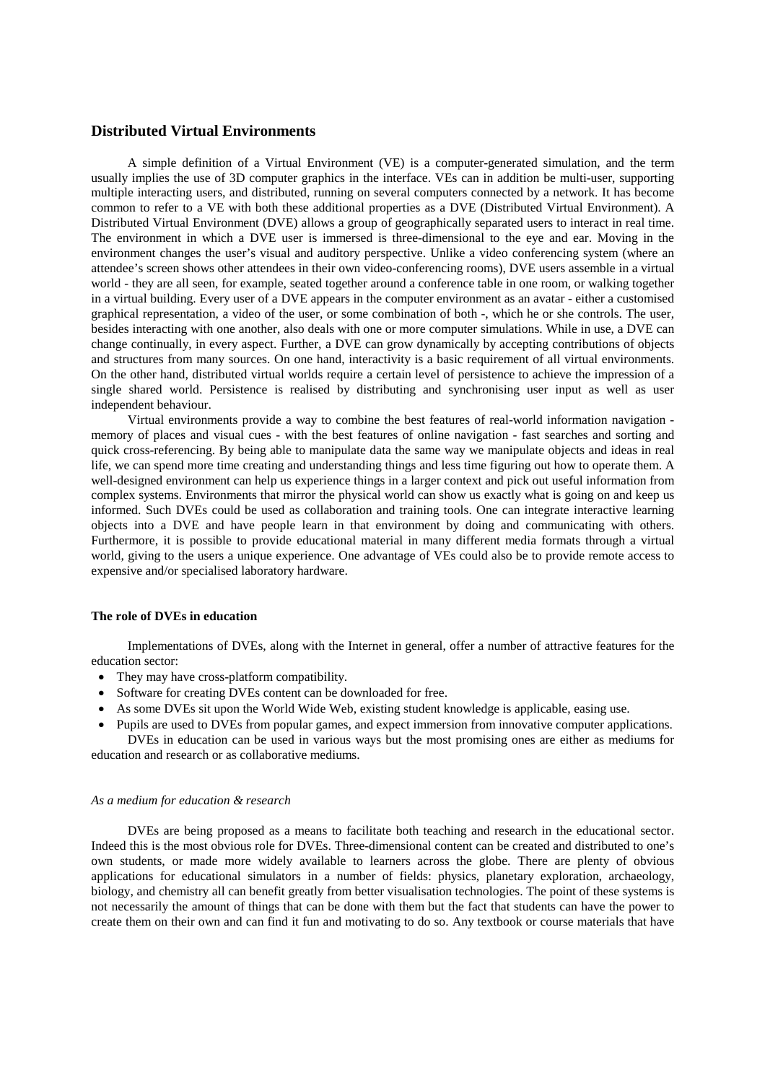## **Distributed Virtual Environments**

A simple definition of a Virtual Environment (VE) is a computer-generated simulation, and the term usually implies the use of 3D computer graphics in the interface. VEs can in addition be multi-user, supporting multiple interacting users, and distributed, running on several computers connected by a network. It has become common to refer to a VE with both these additional properties as a DVE (Distributed Virtual Environment). A Distributed Virtual Environment (DVE) allows a group of geographically separated users to interact in real time. The environment in which a DVE user is immersed is three-dimensional to the eye and ear. Moving in the environment changes the user's visual and auditory perspective. Unlike a video conferencing system (where an attendee's screen shows other attendees in their own video-conferencing rooms), DVE users assemble in a virtual world - they are all seen, for example, seated together around a conference table in one room, or walking together in a virtual building. Every user of a DVE appears in the computer environment as an avatar - either a customised graphical representation, a video of the user, or some combination of both -, which he or she controls. The user, besides interacting with one another, also deals with one or more computer simulations. While in use, a DVE can change continually, in every aspect. Further, a DVE can grow dynamically by accepting contributions of objects and structures from many sources. On one hand, interactivity is a basic requirement of all virtual environments. On the other hand, distributed virtual worlds require a certain level of persistence to achieve the impression of a single shared world. Persistence is realised by distributing and synchronising user input as well as user independent behaviour.

Virtual environments provide a way to combine the best features of real-world information navigation memory of places and visual cues - with the best features of online navigation - fast searches and sorting and quick cross-referencing. By being able to manipulate data the same way we manipulate objects and ideas in real life, we can spend more time creating and understanding things and less time figuring out how to operate them. A well-designed environment can help us experience things in a larger context and pick out useful information from complex systems. Environments that mirror the physical world can show us exactly what is going on and keep us informed. Such DVEs could be used as collaboration and training tools. One can integrate interactive learning objects into a DVE and have people learn in that environment by doing and communicating with others. Furthermore, it is possible to provide educational material in many different media formats through a virtual world, giving to the users a unique experience. One advantage of VEs could also be to provide remote access to expensive and/or specialised laboratory hardware.

### **The role of DVEs in education**

Implementations of DVEs, along with the Internet in general, offer a number of attractive features for the education sector:

- They may have cross-platform compatibility.
- Software for creating DVEs content can be downloaded for free.
- As some DVEs sit upon the World Wide Web, existing student knowledge is applicable, easing use.
- Pupils are used to DVEs from popular games, and expect immersion from innovative computer applications. DVEs in education can be used in various ways but the most promising ones are either as mediums for

education and research or as collaborative mediums.

#### *As a medium for education & research*

DVEs are being proposed as a means to facilitate both teaching and research in the educational sector. Indeed this is the most obvious role for DVEs. Three-dimensional content can be created and distributed to one's own students, or made more widely available to learners across the globe. There are plenty of obvious applications for educational simulators in a number of fields: physics, planetary exploration, archaeology, biology, and chemistry all can benefit greatly from better visualisation technologies. The point of these systems is not necessarily the amount of things that can be done with them but the fact that students can have the power to create them on their own and can find it fun and motivating to do so. Any textbook or course materials that have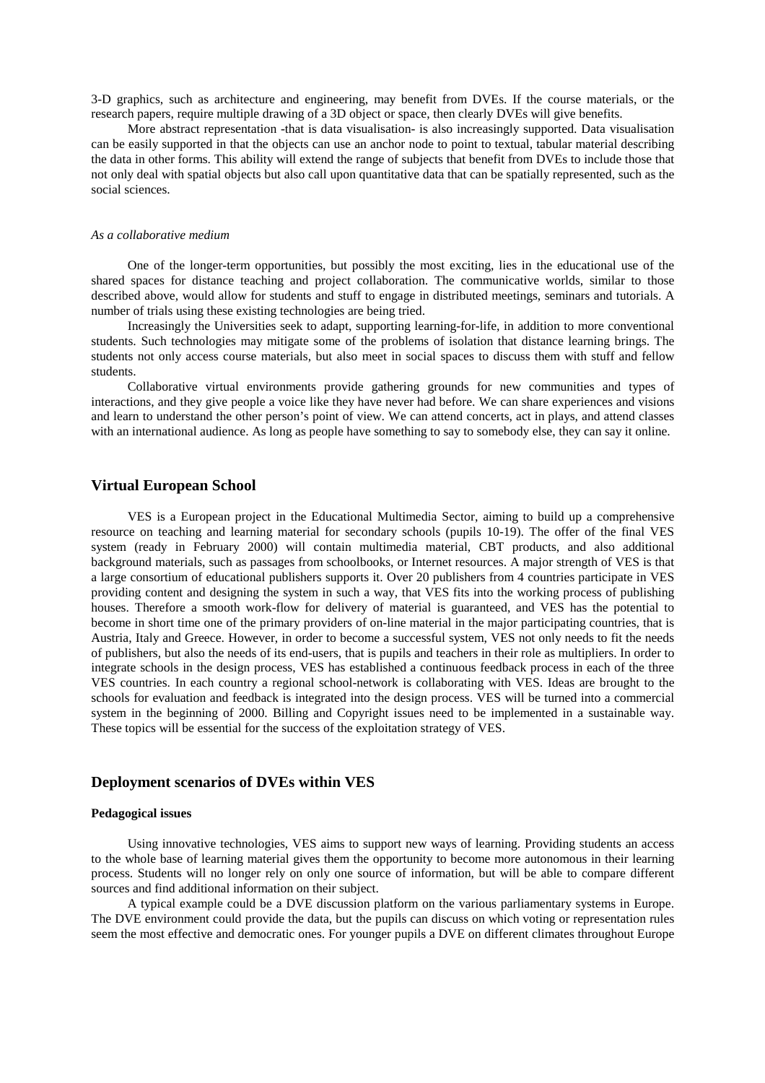3-D graphics, such as architecture and engineering, may benefit from DVEs. If the course materials, or the research papers, require multiple drawing of a 3D object or space, then clearly DVEs will give benefits.

More abstract representation -that is data visualisation- is also increasingly supported. Data visualisation can be easily supported in that the objects can use an anchor node to point to textual, tabular material describing the data in other forms. This ability will extend the range of subjects that benefit from DVEs to include those that not only deal with spatial objects but also call upon quantitative data that can be spatially represented, such as the social sciences.

### *As a collaborative medium*

One of the longer-term opportunities, but possibly the most exciting, lies in the educational use of the shared spaces for distance teaching and project collaboration. The communicative worlds, similar to those described above, would allow for students and stuff to engage in distributed meetings, seminars and tutorials. A number of trials using these existing technologies are being tried.

Increasingly the Universities seek to adapt, supporting learning-for-life, in addition to more conventional students. Such technologies may mitigate some of the problems of isolation that distance learning brings. The students not only access course materials, but also meet in social spaces to discuss them with stuff and fellow students.

Collaborative virtual environments provide gathering grounds for new communities and types of interactions, and they give people a voice like they have never had before. We can share experiences and visions and learn to understand the other person's point of view. We can attend concerts, act in plays, and attend classes with an international audience. As long as people have something to say to somebody else, they can say it online.

## **Virtual European School**

VES is a European project in the Educational Multimedia Sector, aiming to build up a comprehensive resource on teaching and learning material for secondary schools (pupils 10-19). The offer of the final VES system (ready in February 2000) will contain multimedia material, CBT products, and also additional background materials, such as passages from schoolbooks, or Internet resources. A major strength of VES is that a large consortium of educational publishers supports it. Over 20 publishers from 4 countries participate in VES providing content and designing the system in such a way, that VES fits into the working process of publishing houses. Therefore a smooth work-flow for delivery of material is guaranteed, and VES has the potential to become in short time one of the primary providers of on-line material in the major participating countries, that is Austria, Italy and Greece. However, in order to become a successful system, VES not only needs to fit the needs of publishers, but also the needs of its end-users, that is pupils and teachers in their role as multipliers. In order to integrate schools in the design process, VES has established a continuous feedback process in each of the three VES countries. In each country a regional school-network is collaborating with VES. Ideas are brought to the schools for evaluation and feedback is integrated into the design process. VES will be turned into a commercial system in the beginning of 2000. Billing and Copyright issues need to be implemented in a sustainable way. These topics will be essential for the success of the exploitation strategy of VES.

# **Deployment scenarios of DVEs within VES**

### **Pedagogical issues**

Using innovative technologies, VES aims to support new ways of learning. Providing students an access to the whole base of learning material gives them the opportunity to become more autonomous in their learning process. Students will no longer rely on only one source of information, but will be able to compare different sources and find additional information on their subject.

A typical example could be a DVE discussion platform on the various parliamentary systems in Europe. The DVE environment could provide the data, but the pupils can discuss on which voting or representation rules seem the most effective and democratic ones. For younger pupils a DVE on different climates throughout Europe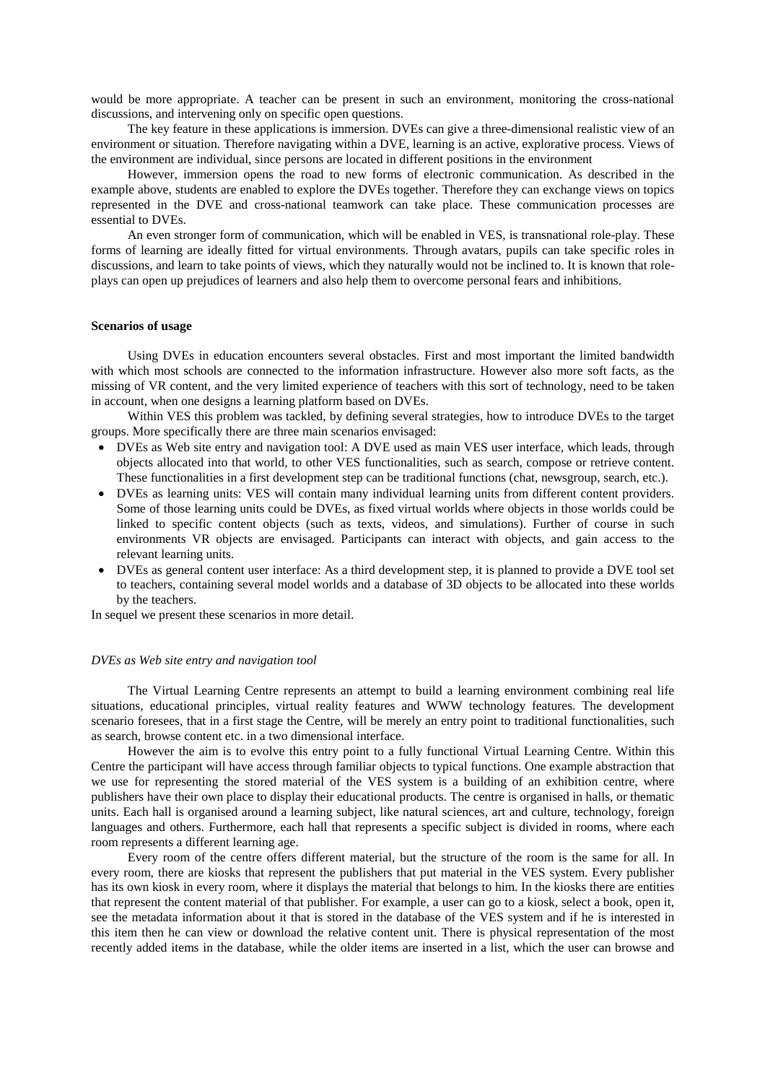would be more appropriate. A teacher can be present in such an environment, monitoring the cross-national discussions, and intervening only on specific open questions.

The key feature in these applications is immersion. DVEs can give a three-dimensional realistic view of an environment or situation. Therefore navigating within a DVE, learning is an active, explorative process. Views of the environment are individual, since persons are located in different positions in the environment

However, immersion opens the road to new forms of electronic communication. As described in the example above, students are enabled to explore the DVEs together. Therefore they can exchange views on topics represented in the DVE and cross-national teamwork can take place. These communication processes are essential to DVEs.

An even stronger form of communication, which will be enabled in VES, is transnational role-play. These forms of learning are ideally fitted for virtual environments. Through avatars, pupils can take specific roles in discussions, and learn to take points of views, which they naturally would not be inclined to. It is known that roleplays can open up prejudices of learners and also help them to overcome personal fears and inhibitions.

#### **Scenarios of usage**

Using DVEs in education encounters several obstacles. First and most important the limited bandwidth with which most schools are connected to the information infrastructure. However also more soft facts, as the missing of VR content, and the very limited experience of teachers with this sort of technology, need to be taken in account, when one designs a learning platform based on DVEs.

Within VES this problem was tackled, by defining several strategies, how to introduce DVEs to the target groups. More specifically there are three main scenarios envisaged:

- DVEs as Web site entry and navigation tool: A DVE used as main VES user interface, which leads, through objects allocated into that world, to other VES functionalities, such as search, compose or retrieve content. These functionalities in a first development step can be traditional functions (chat, newsgroup, search, etc.).
- DVEs as learning units: VES will contain many individual learning units from different content providers. Some of those learning units could be DVEs, as fixed virtual worlds where objects in those worlds could be linked to specific content objects (such as texts, videos, and simulations). Further of course in such environments VR objects are envisaged. Participants can interact with objects, and gain access to the relevant learning units.
- DVEs as general content user interface: As a third development step, it is planned to provide a DVE tool set to teachers, containing several model worlds and a database of 3D objects to be allocated into these worlds by the teachers.

In sequel we present these scenarios in more detail.

#### *DVEs as Web site entry and navigation tool*

The Virtual Learning Centre represents an attempt to build a learning environment combining real life situations, educational principles, virtual reality features and WWW technology features. The development scenario foresees, that in a first stage the Centre, will be merely an entry point to traditional functionalities, such as search, browse content etc. in a two dimensional interface.

However the aim is to evolve this entry point to a fully functional Virtual Learning Centre. Within this Centre the participant will have access through familiar objects to typical functions. One example abstraction that we use for representing the stored material of the VES system is a building of an exhibition centre, where publishers have their own place to display their educational products. The centre is organised in halls, or thematic units. Each hall is organised around a learning subject, like natural sciences, art and culture, technology, foreign languages and others. Furthermore, each hall that represents a specific subject is divided in rooms, where each room represents a different learning age.

Every room of the centre offers different material, but the structure of the room is the same for all. In every room, there are kiosks that represent the publishers that put material in the VES system. Every publisher has its own kiosk in every room, where it displays the material that belongs to him. In the kiosks there are entities that represent the content material of that publisher. For example, a user can go to a kiosk, select a book, open it, see the metadata information about it that is stored in the database of the VES system and if he is interested in this item then he can view or download the relative content unit. There is physical representation of the most recently added items in the database, while the older items are inserted in a list, which the user can browse and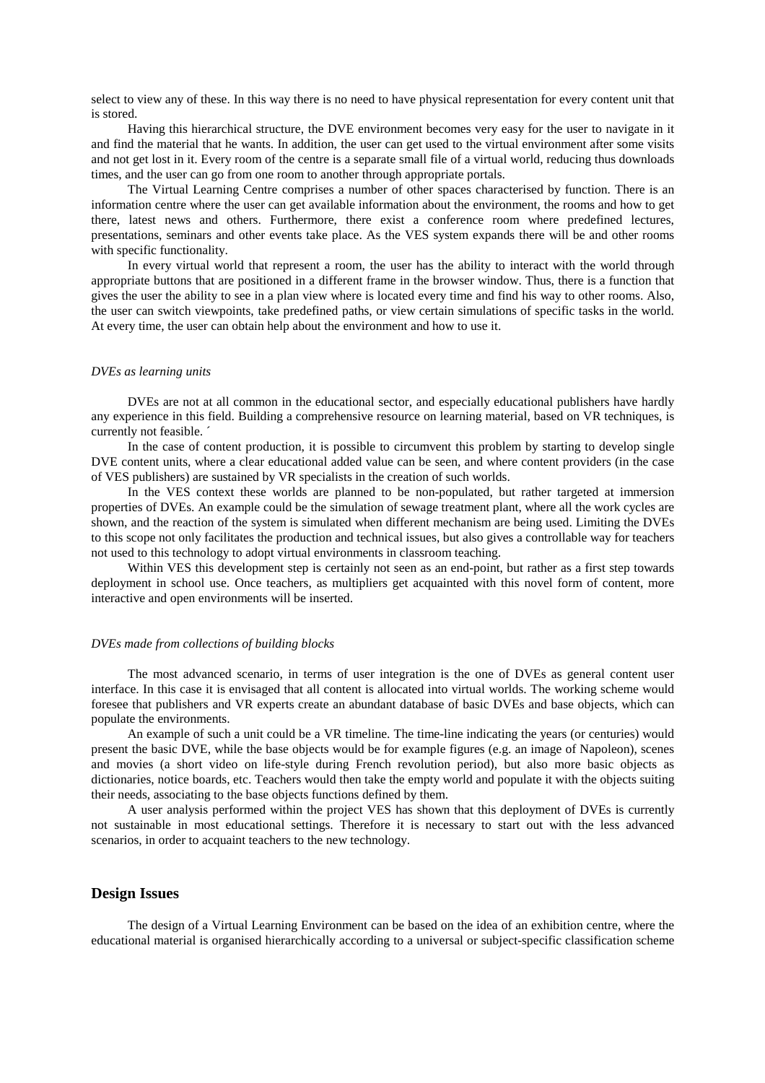select to view any of these. In this way there is no need to have physical representation for every content unit that is stored.

Having this hierarchical structure, the DVE environment becomes very easy for the user to navigate in it and find the material that he wants. In addition, the user can get used to the virtual environment after some visits and not get lost in it. Every room of the centre is a separate small file of a virtual world, reducing thus downloads times, and the user can go from one room to another through appropriate portals.

The Virtual Learning Centre comprises a number of other spaces characterised by function. There is an information centre where the user can get available information about the environment, the rooms and how to get there, latest news and others. Furthermore, there exist a conference room where predefined lectures, presentations, seminars and other events take place. As the VES system expands there will be and other rooms with specific functionality.

In every virtual world that represent a room, the user has the ability to interact with the world through appropriate buttons that are positioned in a different frame in the browser window. Thus, there is a function that gives the user the ability to see in a plan view where is located every time and find his way to other rooms. Also, the user can switch viewpoints, take predefined paths, or view certain simulations of specific tasks in the world. At every time, the user can obtain help about the environment and how to use it.

#### *DVEs as learning units*

DVEs are not at all common in the educational sector, and especially educational publishers have hardly any experience in this field. Building a comprehensive resource on learning material, based on VR techniques, is currently not feasible. ´

In the case of content production, it is possible to circumvent this problem by starting to develop single DVE content units, where a clear educational added value can be seen, and where content providers (in the case of VES publishers) are sustained by VR specialists in the creation of such worlds.

In the VES context these worlds are planned to be non-populated, but rather targeted at immersion properties of DVEs. An example could be the simulation of sewage treatment plant, where all the work cycles are shown, and the reaction of the system is simulated when different mechanism are being used. Limiting the DVEs to this scope not only facilitates the production and technical issues, but also gives a controllable way for teachers not used to this technology to adopt virtual environments in classroom teaching.

Within VES this development step is certainly not seen as an end-point, but rather as a first step towards deployment in school use. Once teachers, as multipliers get acquainted with this novel form of content, more interactive and open environments will be inserted.

#### *DVEs made from collections of building blocks*

The most advanced scenario, in terms of user integration is the one of DVEs as general content user interface. In this case it is envisaged that all content is allocated into virtual worlds. The working scheme would foresee that publishers and VR experts create an abundant database of basic DVEs and base objects, which can populate the environments.

An example of such a unit could be a VR timeline. The time-line indicating the years (or centuries) would present the basic DVE, while the base objects would be for example figures (e.g. an image of Napoleon), scenes and movies (a short video on life-style during French revolution period), but also more basic objects as dictionaries, notice boards, etc. Teachers would then take the empty world and populate it with the objects suiting their needs, associating to the base objects functions defined by them.

A user analysis performed within the project VES has shown that this deployment of DVEs is currently not sustainable in most educational settings. Therefore it is necessary to start out with the less advanced scenarios, in order to acquaint teachers to the new technology.

## **Design Issues**

The design of a Virtual Learning Environment can be based on the idea of an exhibition centre, where the educational material is organised hierarchically according to a universal or subject-specific classification scheme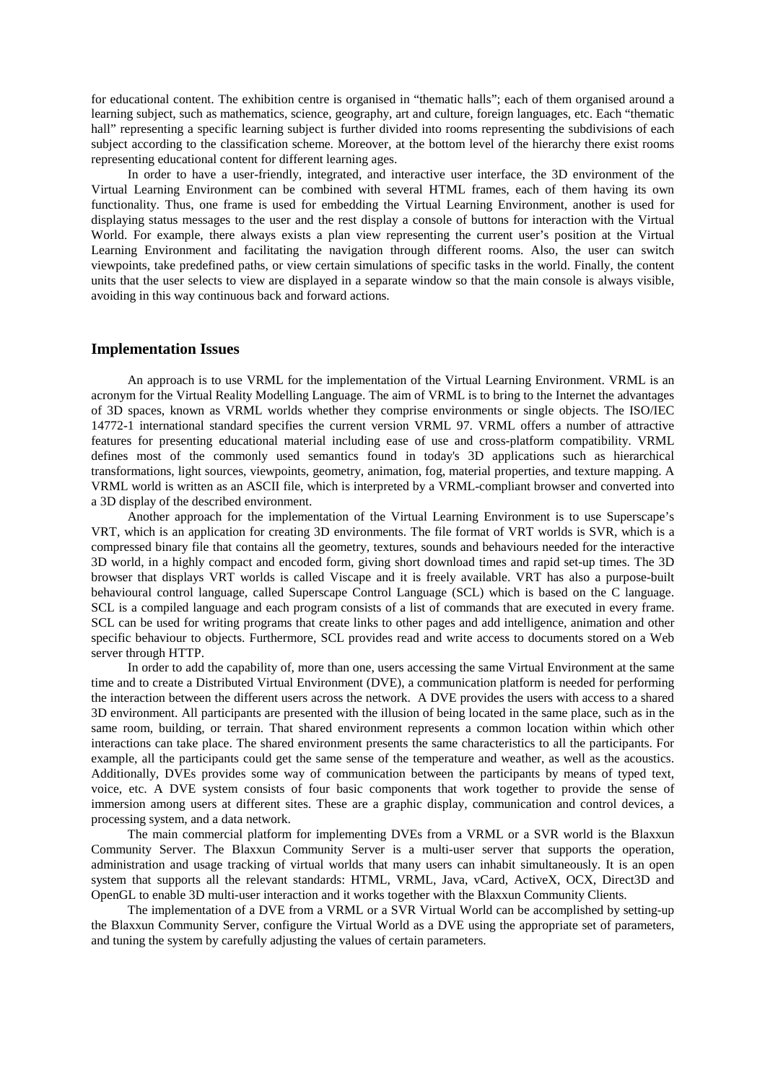for educational content. The exhibition centre is organised in "thematic halls"; each of them organised around a learning subject, such as mathematics, science, geography, art and culture, foreign languages, etc. Each "thematic hall" representing a specific learning subject is further divided into rooms representing the subdivisions of each subject according to the classification scheme. Moreover, at the bottom level of the hierarchy there exist rooms representing educational content for different learning ages.

In order to have a user-friendly, integrated, and interactive user interface, the 3D environment of the Virtual Learning Environment can be combined with several HTML frames, each of them having its own functionality. Thus, one frame is used for embedding the Virtual Learning Environment, another is used for displaying status messages to the user and the rest display a console of buttons for interaction with the Virtual World. For example, there always exists a plan view representing the current user's position at the Virtual Learning Environment and facilitating the navigation through different rooms. Also, the user can switch viewpoints, take predefined paths, or view certain simulations of specific tasks in the world. Finally, the content units that the user selects to view are displayed in a separate window so that the main console is always visible, avoiding in this way continuous back and forward actions.

## **Implementation Issues**

An approach is to use VRML for the implementation of the Virtual Learning Environment. VRML is an acronym for the Virtual Reality Modelling Language. The aim of VRML is to bring to the Internet the advantages of 3D spaces, known as VRML worlds whether they comprise environments or single objects. The ISO/IEC 14772-1 international standard specifies the current version VRML 97. VRML offers a number of attractive features for presenting educational material including ease of use and cross-platform compatibility. VRML defines most of the commonly used semantics found in today's 3D applications such as hierarchical transformations, light sources, viewpoints, geometry, animation, fog, material properties, and texture mapping. A VRML world is written as an ASCII file, which is interpreted by a VRML-compliant browser and converted into a 3D display of the described environment.

Another approach for the implementation of the Virtual Learning Environment is to use Superscape's VRT, which is an application for creating 3D environments. The file format of VRT worlds is SVR, which is a compressed binary file that contains all the geometry, textures, sounds and behaviours needed for the interactive 3D world, in a highly compact and encoded form, giving short download times and rapid set-up times. The 3D browser that displays VRT worlds is called Viscape and it is freely available. VRT has also a purpose-built behavioural control language, called Superscape Control Language (SCL) which is based on the C language. SCL is a compiled language and each program consists of a list of commands that are executed in every frame. SCL can be used for writing programs that create links to other pages and add intelligence, animation and other specific behaviour to objects. Furthermore, SCL provides read and write access to documents stored on a Web server through HTTP.

In order to add the capability of, more than one, users accessing the same Virtual Environment at the same time and to create a Distributed Virtual Environment (DVE), a communication platform is needed for performing the interaction between the different users across the network. A DVE provides the users with access to a shared 3D environment. All participants are presented with the illusion of being located in the same place, such as in the same room, building, or terrain. That shared environment represents a common location within which other interactions can take place. The shared environment presents the same characteristics to all the participants. For example, all the participants could get the same sense of the temperature and weather, as well as the acoustics. Additionally, DVEs provides some way of communication between the participants by means of typed text, voice, etc. A DVE system consists of four basic components that work together to provide the sense of immersion among users at different sites. These are a graphic display, communication and control devices, a processing system, and a data network.

The main commercial platform for implementing DVEs from a VRML or a SVR world is the Blaxxun Community Server. The Blaxxun Community Server is a multi-user server that supports the operation, administration and usage tracking of virtual worlds that many users can inhabit simultaneously. It is an open system that supports all the relevant standards: HTML, VRML, Java, vCard, ActiveX, OCX, Direct3D and OpenGL to enable 3D multi-user interaction and it works together with the Blaxxun Community Clients.

The implementation of a DVE from a VRML or a SVR Virtual World can be accomplished by setting-up the Blaxxun Community Server, configure the Virtual World as a DVE using the appropriate set of parameters, and tuning the system by carefully adjusting the values of certain parameters.